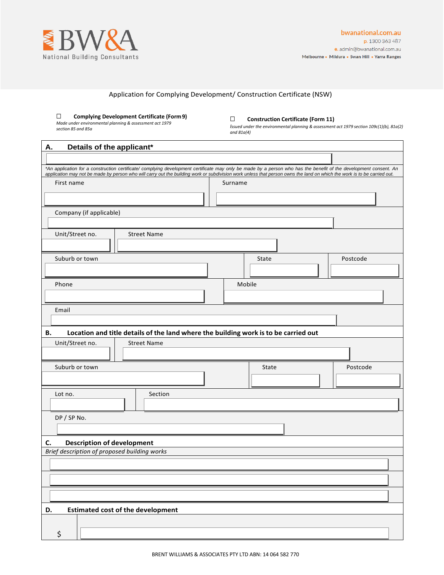

# Application for Complying Development/ Construction Certificate (NSW)

#### ☐ **Complying Development Certificate (Form9)**

*Made under environmental planning & assessment act 1979 section 85 and 85a*

## ☐ **Construction Certificate (Form 11)**

*Issued under the environmental planning & assessment act 1979 section 109c(1)(b), 81a(2) and 81a(4)*

| Details of the applicant*<br>Α.                                                                                                                                                                                                                                                                                                              |         |          |
|----------------------------------------------------------------------------------------------------------------------------------------------------------------------------------------------------------------------------------------------------------------------------------------------------------------------------------------------|---------|----------|
|                                                                                                                                                                                                                                                                                                                                              |         |          |
| *An application for a construction certificate/ complying development certificate may only be made by a person who has the benefit of the development consent. An<br>application may not be made by person who will carry out the building work or subdivision work unless that person owns the land on which the work is to be carried out. |         |          |
| First name                                                                                                                                                                                                                                                                                                                                   | Surname |          |
|                                                                                                                                                                                                                                                                                                                                              |         |          |
| Company (if applicable)                                                                                                                                                                                                                                                                                                                      |         |          |
|                                                                                                                                                                                                                                                                                                                                              |         |          |
| Unit/Street no.<br><b>Street Name</b>                                                                                                                                                                                                                                                                                                        |         |          |
| Suburb or town                                                                                                                                                                                                                                                                                                                               | State   | Postcode |
|                                                                                                                                                                                                                                                                                                                                              |         |          |
| Phone                                                                                                                                                                                                                                                                                                                                        | Mobile  |          |
|                                                                                                                                                                                                                                                                                                                                              |         |          |
| Email                                                                                                                                                                                                                                                                                                                                        |         |          |
|                                                                                                                                                                                                                                                                                                                                              |         |          |
| Location and title details of the land where the building work is to be carried out<br>В.                                                                                                                                                                                                                                                    |         |          |
| Unit/Street no.<br><b>Street Name</b>                                                                                                                                                                                                                                                                                                        |         |          |
| Suburb or town                                                                                                                                                                                                                                                                                                                               | State   | Postcode |
|                                                                                                                                                                                                                                                                                                                                              |         |          |
| Section<br>Lot no.                                                                                                                                                                                                                                                                                                                           |         |          |
|                                                                                                                                                                                                                                                                                                                                              |         |          |
| DP / SP No.                                                                                                                                                                                                                                                                                                                                  |         |          |
|                                                                                                                                                                                                                                                                                                                                              |         |          |
| <b>Description of development</b><br>C.                                                                                                                                                                                                                                                                                                      |         |          |
| Brief description of proposed building works                                                                                                                                                                                                                                                                                                 |         |          |
|                                                                                                                                                                                                                                                                                                                                              |         |          |
|                                                                                                                                                                                                                                                                                                                                              |         |          |
|                                                                                                                                                                                                                                                                                                                                              |         |          |
| <b>Estimated cost of the development</b><br>D.                                                                                                                                                                                                                                                                                               |         |          |
|                                                                                                                                                                                                                                                                                                                                              |         |          |
| \$                                                                                                                                                                                                                                                                                                                                           |         |          |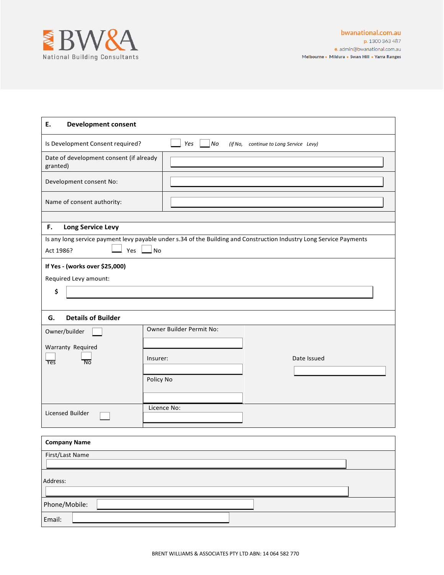

| E.<br><b>Development consent</b>                    |                                                                                                                           |
|-----------------------------------------------------|---------------------------------------------------------------------------------------------------------------------------|
| Is Development Consent required?                    | No<br>Yes<br>(if No,<br>continue to Long Service Levy)                                                                    |
| Date of development consent (if already<br>granted) |                                                                                                                           |
| Development consent No:                             |                                                                                                                           |
| Name of consent authority:                          |                                                                                                                           |
|                                                     |                                                                                                                           |
| F.<br><b>Long Service Levy</b>                      |                                                                                                                           |
| Act 1986?<br>Yes                                    | Is any long service payment levy payable under s.34 of the Building and Construction Industry Long Service Payments<br>No |
| If Yes - (works over \$25,000)                      |                                                                                                                           |
| Required Levy amount:                               |                                                                                                                           |
| \$                                                  |                                                                                                                           |
|                                                     |                                                                                                                           |
| <b>Details of Builder</b><br>G.                     |                                                                                                                           |
| Owner/builder                                       | Owner Builder Permit No:                                                                                                  |
|                                                     |                                                                                                                           |
| Warranty Required                                   | Date Issued<br>Insurer:                                                                                                   |
| $\overline{N}$<br>Yes                               |                                                                                                                           |
|                                                     | Policy No                                                                                                                 |
|                                                     |                                                                                                                           |
|                                                     | Licence No:                                                                                                               |
| Licensed Builder                                    |                                                                                                                           |
|                                                     |                                                                                                                           |
| <b>Company Name</b>                                 |                                                                                                                           |
| First/Last Name                                     |                                                                                                                           |
| Address:                                            |                                                                                                                           |
|                                                     |                                                                                                                           |
| Phone/Mobile:                                       |                                                                                                                           |

Email: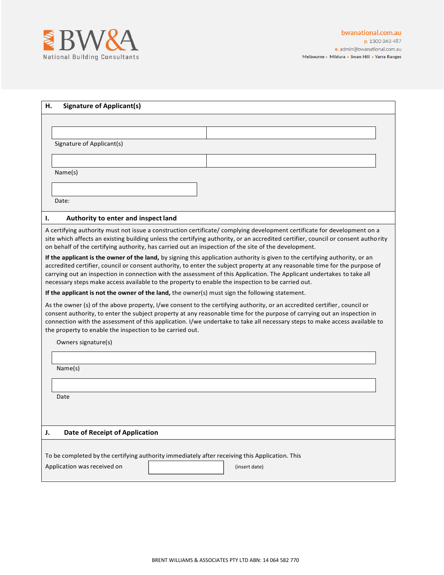

| <b>Signature of Applicant(s)</b><br>н.                                                                                                                                                                                                                                                                                                                                                                                                                                                     |  |
|--------------------------------------------------------------------------------------------------------------------------------------------------------------------------------------------------------------------------------------------------------------------------------------------------------------------------------------------------------------------------------------------------------------------------------------------------------------------------------------------|--|
|                                                                                                                                                                                                                                                                                                                                                                                                                                                                                            |  |
|                                                                                                                                                                                                                                                                                                                                                                                                                                                                                            |  |
| Signature of Applicant(s)                                                                                                                                                                                                                                                                                                                                                                                                                                                                  |  |
|                                                                                                                                                                                                                                                                                                                                                                                                                                                                                            |  |
| Name(s)                                                                                                                                                                                                                                                                                                                                                                                                                                                                                    |  |
|                                                                                                                                                                                                                                                                                                                                                                                                                                                                                            |  |
| Date:                                                                                                                                                                                                                                                                                                                                                                                                                                                                                      |  |
|                                                                                                                                                                                                                                                                                                                                                                                                                                                                                            |  |
| Ι.<br>Authority to enter and inspect land                                                                                                                                                                                                                                                                                                                                                                                                                                                  |  |
| A certifying authority must not issue a construction certificate/complying development certificate for development on a<br>site which affects an existing building unless the certifying authority, or an accredited certifier, council or consent authority<br>on behalf of the certifying authority, has carried out an inspection of the site of the development.                                                                                                                       |  |
| If the applicant is the owner of the land, by signing this application authority is given to the certifying authority, or an<br>accredited certifier, council or consent authority, to enter the subject property at any reasonable time for the purpose of<br>carrying out an inspection in connection with the assessment of this Application. The Applicant undertakes to take all<br>necessary steps make access available to the property to enable the inspection to be carried out. |  |
| If the applicant is not the owner of the land, the owner(s) must sign the following statement.                                                                                                                                                                                                                                                                                                                                                                                             |  |
| As the owner (s) of the above property, I/we consent to the certifying authority, or an accredited certifier, council or<br>consent authority, to enter the subject property at any reasonable time for the purpose of carrying out an inspection in<br>connection with the assessment of this application. I/we undertake to take all necessary steps to make access available to<br>the property to enable the inspection to be carried out.                                             |  |
| Owners signature(s)                                                                                                                                                                                                                                                                                                                                                                                                                                                                        |  |
|                                                                                                                                                                                                                                                                                                                                                                                                                                                                                            |  |
| Name(s)                                                                                                                                                                                                                                                                                                                                                                                                                                                                                    |  |
|                                                                                                                                                                                                                                                                                                                                                                                                                                                                                            |  |
| Date                                                                                                                                                                                                                                                                                                                                                                                                                                                                                       |  |
|                                                                                                                                                                                                                                                                                                                                                                                                                                                                                            |  |
|                                                                                                                                                                                                                                                                                                                                                                                                                                                                                            |  |
| Date of Receipt of Application<br>J.                                                                                                                                                                                                                                                                                                                                                                                                                                                       |  |
|                                                                                                                                                                                                                                                                                                                                                                                                                                                                                            |  |
| To be completed by the certifying authority immediately after receiving this Application. This                                                                                                                                                                                                                                                                                                                                                                                             |  |
| Application was received on<br>(insert date)                                                                                                                                                                                                                                                                                                                                                                                                                                               |  |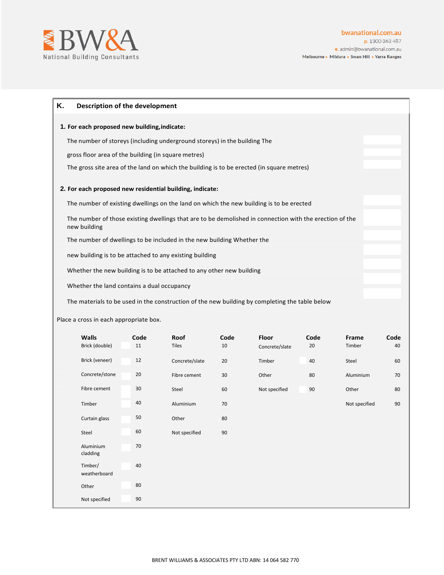

| Κ.<br>Description of the development                                                                                    |  |
|-------------------------------------------------------------------------------------------------------------------------|--|
| 1. For each proposed new building, indicate:                                                                            |  |
| The number of storeys (including underground storeys) in the building The                                               |  |
| gross floor area of the building (in square metres)                                                                     |  |
| The gross site area of the land on which the building is to be erected (in square metres)                               |  |
| 2. For each proposed new residential building, indicate:                                                                |  |
| The number of existing dwellings on the land on which the new building is to be erected                                 |  |
| The number of those existing dwellings that are to be demolished in connection with the erection of the<br>new building |  |
| The number of dwellings to be included in the new building Whether the                                                  |  |
| new building is to be attached to any existing building                                                                 |  |
| Whether the new building is to be attached to any other new building                                                    |  |
| Whether the land contains a dual occupancy                                                                              |  |
| The materials to be used in the construction of the new building by completing the table below                          |  |
| <u>Place a cross in each annronriate hovi</u>                                                                           |  |

Place a cross in each appropriate box.

| <b>Walls</b><br>Brick (double) | Code<br>11 | Roof<br><b>Tiles</b> | Code<br>10 | Floor<br>Concrete/slate | Code<br>20 | Frame<br>Timber | Code<br>40 |
|--------------------------------|------------|----------------------|------------|-------------------------|------------|-----------------|------------|
| Brick (veneer)                 | 12         | Concrete/slate       | 20         | Timber                  | 40         | Steel           | 60         |
| Concrete/stone                 | 20         | Fibre cement         | 30         | Other                   | 80         | Aluminium       | 70         |
| Fibre cement                   | 30         | Steel                | 60         | Not specified           | 90         | Other           | 80         |
| Timber                         | 40         | Aluminium            | 70         |                         |            | Not specified   | 90         |
| Curtain glass                  | 50         | Other                | 80         |                         |            |                 |            |
| Steel                          | 60         | Not specified        | 90         |                         |            |                 |            |
| Aluminium<br>cladding          | 70         |                      |            |                         |            |                 |            |
| Timber/<br>weatherboard        | 40         |                      |            |                         |            |                 |            |
| Other                          | 80         |                      |            |                         |            |                 |            |
| Not specified                  | 90         |                      |            |                         |            |                 |            |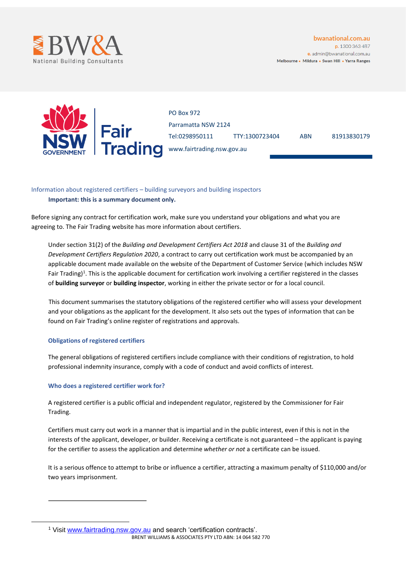



PO Box 972 Parramatta NSW 2124 Tel:0298950111 TTY:1300723404 ABN 81913830179 www.fairtrading.nsw.gov.au

# Information about registered certifiers – building surveyors and building inspectors **Important: this is a summary document only.**

Before signing any contract for certification work, make sure you understand your obligations and what you are agreeing to. The Fair Trading website has more information about certifiers.

Under section 31(2) of the *Building and Development Certifiers Act 2018* and clause 31 of the *Building and Development Certifiers Regulation 2020*, a contract to carry out certification work must be accompanied by an applicable document made available on the website of the Department of Customer Service (which includes NSW Fair Trading)<sup>1</sup>. This is the applicable document for certification work involving a certifier registered in the classes of **building surveyor** or **building inspector**, working in either the private sector or for a local council.

This document summarises the statutory obligations of the registered certifier who will assess your development and your obligations as the applicant for the development. It also sets out the types of information that can be found on Fair Trading's online register of registrations and approvals.

# **Obligations of registered certifiers**

The general obligations of registered certifiers include compliance with their conditions of registration, to hold professional indemnity insurance, comply with a code of conduct and avoid conflicts of interest.

## **Who does a registered certifier work for?**

A registered certifier is a public official and independent regulator, registered by the Commissioner for Fair Trading.

Certifiers must carry out work in a manner that is impartial and in the public interest, even if this is not in the interests of the applicant, developer, or builder. Receiving a certificate is not guaranteed – the applicant is paying for the certifier to assess the application and determine *whether or not* a certificate can be issued.

It is a serious offence to attempt to bribe or influence a certifier, attracting a maximum penalty of \$110,000 and/or two years imprisonment.

BRENT WILLIAMS & ASSOCIATES PTY LTD ABN: 14 064 582 770 <sup>1</sup> Visit [www.fairtrading.nsw.gov.au](http://www.fairtrading.nsw.gov.au/) and search 'certification contracts'.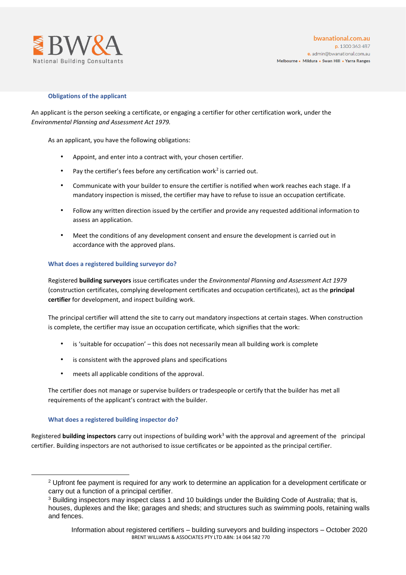

## **Obligations of the applicant**

An applicant is the person seeking a certificate, or engaging a certifier for other certification work, under the *Environmental Planning and Assessment Act 1979.*

As an applicant, you have the following obligations:

- Appoint, and enter into a contract with, your chosen certifier.
- Pay the certifier's fees before any certification work<sup>2</sup> is carried out.
- Communicate with your builder to ensure the certifier is notified when work reaches each stage. If a mandatory inspection is missed, the certifier may have to refuse to issue an occupation certificate.
- Follow any written direction issued by the certifier and provide any requested additional information to assess an application.
- Meet the conditions of any development consent and ensure the development is carried out in accordance with the approved plans.

## **What does a registered building surveyor do?**

Registered **building surveyors** issue certificates under the *Environmental Planning and Assessment Act 1979* (construction certificates, complying development certificates and occupation certificates), act as the **principal certifier** for development, and inspect building work.

The principal certifier will attend the site to carry out mandatory inspections at certain stages. When construction is complete, the certifier may issue an occupation certificate, which signifies that the work:

- is 'suitable for occupation' this does not necessarily mean all building work is complete
- is consistent with the approved plans and specifications
- meets all applicable conditions of the approval.

The certifier does not manage or supervise builders or tradespeople or certify that the builder has met all requirements of the applicant's contract with the builder.

### **What does a registered building inspector do?**

Registered **building inspectors** carry out inspections of building work<sup>3</sup> with the approval and agreement of the principal certifier. Building inspectors are not authorised to issue certificates or be appointed as the principal certifier.

<sup>&</sup>lt;sup>2</sup> Upfront fee payment is required for any work to determine an application for a development certificate or carry out a function of a principal certifier.

<sup>3</sup> Building inspectors may inspect class 1 and 10 buildings under the Building Code of Australia; that is, houses, duplexes and the like; garages and sheds; and structures such as swimming pools, retaining walls and fences.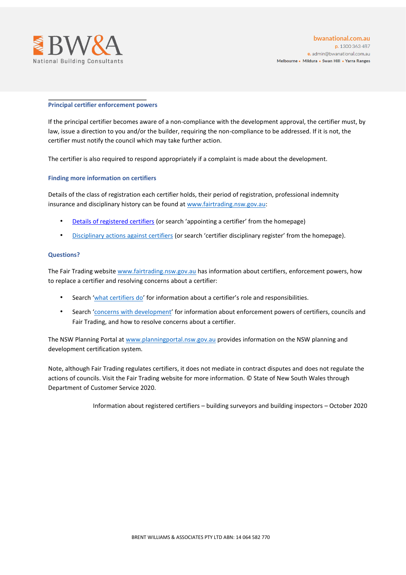

#### **Principal certifier enforcement powers**

If the principal certifier becomes aware of a non-compliance with the development approval, the certifier must, by law, issue a direction to you and/or the builder, requiring the non-compliance to be addressed. If it is not, the certifier must notify the council which may take further action.

The certifier is also required to respond appropriately if a complaint is made about the development.

### **Finding more information on certifiers**

Details of the class of registration each certifier holds, their period of registration, professional indemnity insurance and disciplinary his[t](http://www.fairtrading.nsw.gov.au/)ory can be found at www.fairtrading.nsw.gov.au:

- [Details of registered certifiers](https://www.fairtrading.nsw.gov.au/housing-and-property/building-and-renovating/preparing-to-build-and-renovate/finding-and-appointing-a-certifier) (or search 'appointing a certifier' from the homepage)
- [Disciplinary actions against certifiers](https://www.fairtrading.nsw.gov.au/trades-and-businesses/business-essentials/building-certifiers/certifier-disciplinary-register) (or search 'certifier disciplinary register' from the homepage).

#### **Questions?**

The Fair Trading websit[e www.fairtrading.nsw.gov.au](http://www.fairtrading.nsw.gov.au/) has information about certifiers, enforcement powers, how to replace a certifier and resolving concerns about a certifier:

- Search '[what certifiers do](https://www.fairtrading.nsw.gov.au/housing-and-property/building-and-renovating/preparing-to-build-and-renovate/what-certifiers-do)['](https://www.fairtrading.nsw.gov.au/housing-and-property/building-and-renovating/preparing-to-build-and-renovate/what-certifiers-do) for information about a certifier's role and responsibilities.
- Search '[concerns with development](https://www.fairtrading.nsw.gov.au/housing-and-property/building-and-renovating/during-the-building-process/concerns-with-development)['](https://www.fairtrading.nsw.gov.au/housing-and-property/building-and-renovating/during-the-building-process/concerns-with-development) for information about enforcement powers of certifiers, councils and Fair Trading, and how to resolve concerns about a certifier.

The NSW Planning Portal a[t www.planningportal.nsw.gov.au](http://www.planningportal.nsw.gov.au/) provides information on the NSW planning and development certification system.

Note, although Fair Trading regulates certifiers, it does not mediate in contract disputes and does not regulate the actions of councils. Visit the Fair Trading website for more information. © State of New South Wales through Department of Customer Service 2020.

Information about registered certifiers – building surveyors and building inspectors – October 2020